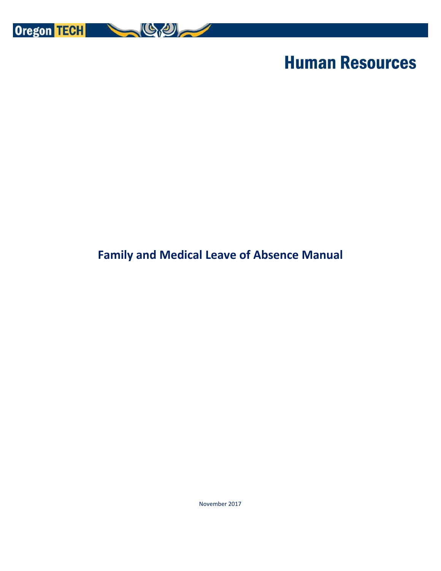

# **Human Resources**

# **Family and Medical Leave of Absence Manual**

November 2017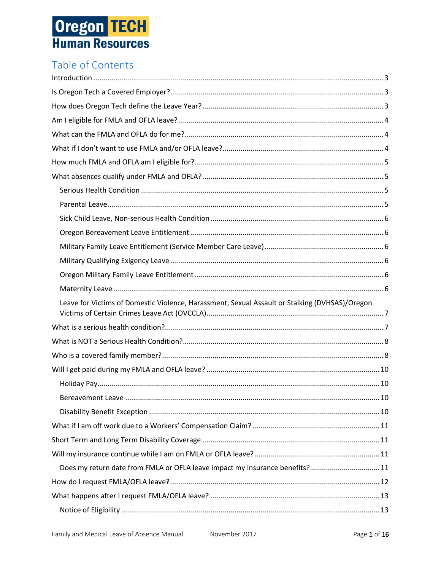# Table of Contents

| Leave for Victims of Domestic Violence, Harassment, Sexual Assault or Stalking (DVHSAS)/Oregon |  |
|------------------------------------------------------------------------------------------------|--|
|                                                                                                |  |
|                                                                                                |  |
|                                                                                                |  |
|                                                                                                |  |
|                                                                                                |  |
|                                                                                                |  |
|                                                                                                |  |
|                                                                                                |  |
|                                                                                                |  |
|                                                                                                |  |
| Does my return date from FMLA or OFLA leave impact my insurance benefits?11                    |  |
|                                                                                                |  |
|                                                                                                |  |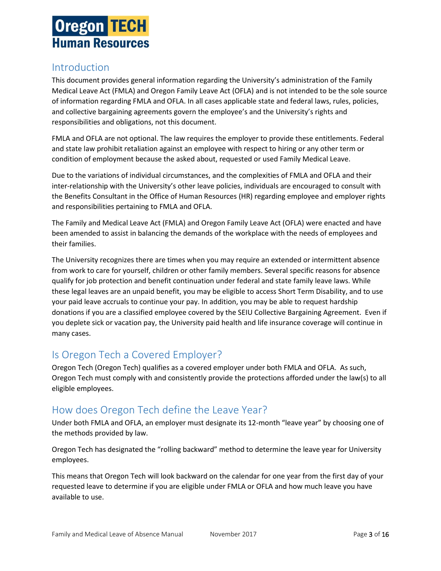

### <span id="page-3-0"></span>Introduction

This document provides general information regarding the University's administration of the Family Medical Leave Act (FMLA) and Oregon Family Leave Act (OFLA) and is not intended to be the sole source of information regarding FMLA and OFLA. In all cases applicable state and federal laws, rules, policies, and collective bargaining agreements govern the employee's and the University's rights and responsibilities and obligations, not this document.

FMLA and OFLA are not optional. The law requires the employer to provide these entitlements. Federal and state law prohibit retaliation against an employee with respect to hiring or any other term or condition of employment because the asked about, requested or used Family Medical Leave.

Due to the variations of individual circumstances, and the complexities of FMLA and OFLA and their inter-relationship with the University's other leave policies, individuals are encouraged to consult with the Benefits Consultant in the Office of Human Resources (HR) regarding employee and employer rights and responsibilities pertaining to FMLA and OFLA.

The Family and Medical Leave Act (FMLA) and Oregon Family Leave Act (OFLA) were enacted and have been amended to assist in balancing the demands of the workplace with the needs of employees and their families.

The University recognizes there are times when you may require an extended or intermittent absence from work to care for yourself, children or other family members. Several specific reasons for absence qualify for job protection and benefit continuation under federal and state family leave laws. While these legal leaves are an unpaid benefit, you may be eligible to access Short Term Disability, and to use your paid leave accruals to continue your pay. In addition, you may be able to request hardship donations if you are a classified employee covered by the SEIU Collective Bargaining Agreement. Even if you deplete sick or vacation pay, the University paid health and life insurance coverage will continue in many cases.

## <span id="page-3-1"></span>Is Oregon Tech a Covered Employer?

Oregon Tech (Oregon Tech) qualifies as a covered employer under both FMLA and OFLA. As such, Oregon Tech must comply with and consistently provide the protections afforded under the law(s) to all eligible employees.

## <span id="page-3-2"></span>How does Oregon Tech define the Leave Year?

Under both FMLA and OFLA, an employer must designate its 12-month "leave year" by choosing one of the methods provided by law.

Oregon Tech has designated the "rolling backward" method to determine the leave year for University employees.

This means that Oregon Tech will look backward on the calendar for one year from the first day of your requested leave to determine if you are eligible under FMLA or OFLA and how much leave you have available to use.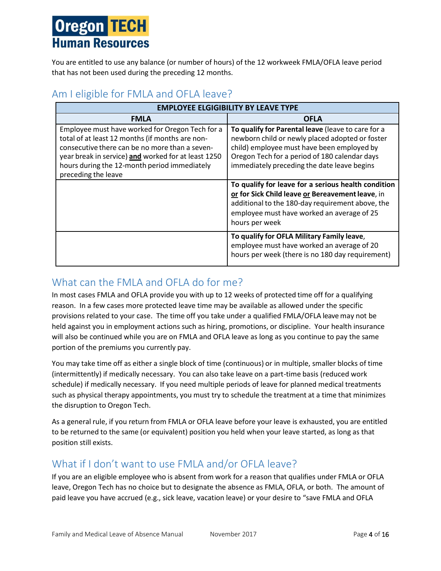You are entitled to use any balance (or number of hours) of the 12 workweek FMLA/OFLA leave period that has not been used during the preceding 12 months.

### <span id="page-4-0"></span>Am I eligible for FMLA and OFLA leave?

| <b>EMPLOYEE ELGIGIBILITY BY LEAVE TYPE</b>                                                                                                                                                                                                                                         |                                                                                                                                                                                                                                                     |  |
|------------------------------------------------------------------------------------------------------------------------------------------------------------------------------------------------------------------------------------------------------------------------------------|-----------------------------------------------------------------------------------------------------------------------------------------------------------------------------------------------------------------------------------------------------|--|
| <b>FMLA</b>                                                                                                                                                                                                                                                                        | <b>OFLA</b>                                                                                                                                                                                                                                         |  |
| Employee must have worked for Oregon Tech for a<br>total of at least 12 months (if months are non-<br>consecutive there can be no more than a seven-<br>year break in service) and worked for at least 1250<br>hours during the 12-month period immediately<br>preceding the leave | To qualify for Parental leave (leave to care for a<br>newborn child or newly placed adopted or foster<br>child) employee must have been employed by<br>Oregon Tech for a period of 180 calendar days<br>immediately preceding the date leave begins |  |
|                                                                                                                                                                                                                                                                                    | To qualify for leave for a serious health condition<br>or for Sick Child leave or Bereavement leave, in<br>additional to the 180-day requirement above, the<br>employee must have worked an average of 25<br>hours per week                         |  |
|                                                                                                                                                                                                                                                                                    | To qualify for OFLA Military Family leave,<br>employee must have worked an average of 20<br>hours per week (there is no 180 day requirement)                                                                                                        |  |

## <span id="page-4-1"></span>What can the FMI A and OFI A do for me?

In most cases FMLA and OFLA provide you with up to 12 weeks of protected time off for a qualifying reason. In a few cases more protected leave time may be available as allowed under the specific provisions related to your case. The time off you take under a qualified FMLA/OFLA leave may not be held against you in employment actions such as hiring, promotions, or discipline. Your health insurance will also be continued while you are on FMLA and OFLA leave as long as you continue to pay the same portion of the premiums you currently pay.

You may take time off as either a single block of time (continuous) or in multiple, smaller blocks of time (intermittently) if medically necessary. You can also take leave on a part-time basis (reduced work schedule) if medically necessary. If you need multiple periods of leave for planned medical treatments such as physical therapy appointments, you must try to schedule the treatment at a time that minimizes the disruption to Oregon Tech.

As a general rule, if you return from FMLA or OFLA leave before your leave is exhausted, you are entitled to be returned to the same (or equivalent) position you held when your leave started, as long as that position still exists.

## <span id="page-4-2"></span>What if I don't want to use FMLA and/or OFLA leave?

If you are an eligible employee who is absent from work for a reason that qualifies under FMLA or OFLA leave, Oregon Tech has no choice but to designate the absence as FMLA, OFLA, or both. The amount of paid leave you have accrued (e.g., sick leave, vacation leave) or your desire to "save FMLA and OFLA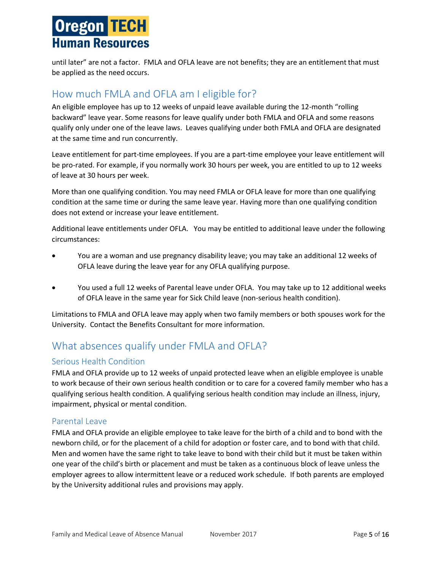until later" are not a factor. FMLA and OFLA leave are not benefits; they are an entitlement that must be applied as the need occurs.

### <span id="page-5-0"></span>How much FMLA and OFLA am I eligible for?

An eligible employee has up to 12 weeks of unpaid leave available during the 12-month "rolling backward" leave year. Some reasons for leave qualify under both FMLA and OFLA and some reasons qualify only under one of the leave laws. Leaves qualifying under both FMLA and OFLA are designated at the same time and run concurrently.

Leave entitlement for part-time employees. If you are a part-time employee your leave entitlement will be pro-rated. For example, if you normally work 30 hours per week, you are entitled to up to 12 weeks of leave at 30 hours per week.

More than one qualifying condition. You may need FMLA or OFLA leave for more than one qualifying condition at the same time or during the same leave year. Having more than one qualifying condition does not extend or increase your leave entitlement.

Additional leave entitlements under OFLA. You may be entitled to additional leave under the following circumstances:

- You are a woman and use pregnancy disability leave; you may take an additional 12 weeks of OFLA leave during the leave year for any OFLA qualifying purpose.
- You used a full 12 weeks of Parental leave under OFLA. You may take up to 12 additional weeks of OFLA leave in the same year for Sick Child leave (non-serious health condition).

Limitations to FMLA and OFLA leave may apply when two family members or both spouses work for the University. Contact the Benefits Consultant for more information.

# <span id="page-5-1"></span>What absences qualify under FMLA and OFLA?

#### <span id="page-5-2"></span>Serious Health Condition

FMLA and OFLA provide up to 12 weeks of unpaid protected leave when an eligible employee is unable to work because of their own serious health condition or to care for a covered family member who has a qualifying serious health condition. A qualifying serious health condition may include an illness, injury, impairment, physical or mental condition.

#### <span id="page-5-3"></span>Parental Leave

FMLA and OFLA provide an eligible employee to take leave for the birth of a child and to bond with the newborn child, or for the placement of a child for adoption or foster care, and to bond with that child. Men and women have the same right to take leave to bond with their child but it must be taken within one year of the child's birth or placement and must be taken as a continuous block of leave unless the employer agrees to allow intermittent leave or a reduced work schedule. If both parents are employed by the University additional rules and provisions may apply.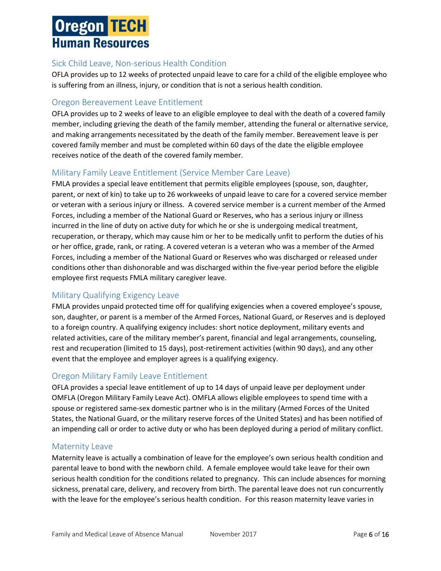#### <span id="page-6-0"></span>Sick Child Leave, Non-serious Health Condition

OFLA provides up to 12 weeks of protected unpaid leave to care for a child of the eligible employee who is suffering from an illness, injury, or condition that is not a serious health condition.

#### <span id="page-6-1"></span>Oregon Bereavement Leave Entitlement

OFLA provides up to 2 weeks of leave to an eligible employee to deal with the death of a covered family member, including grieving the death of the family member, attending the funeral or alternative service, and making arrangements necessitated by the death of the family member. Bereavement leave is per covered family member and must be completed within 60 days of the date the eligible employee receives notice of the death of the covered family member.

#### <span id="page-6-2"></span>Military Family Leave Entitlement (Service Member Care Leave)

FMLA provides a special leave entitlement that permits eligible employees (spouse, son, daughter, parent, or next of kin) to take up to 26 workweeks of unpaid leave to care for a covered service member or veteran with a serious injury or illness. A covered service member is a current member of the Armed Forces, including a member of the National Guard or Reserves, who has a serious injury or illness incurred in the line of duty on active duty for which he or she is undergoing medical treatment, recuperation, or therapy, which may cause him or her to be medically unfit to perform the duties of his or her office, grade, rank, or rating. A covered veteran is a veteran who was a member of the Armed Forces, including a member of the National Guard or Reserves who was discharged or released under conditions other than dishonorable and was discharged within the five-year period before the eligible employee first requests FMLA military caregiver leave.

#### <span id="page-6-3"></span>Military Qualifying Exigency Leave

FMLA provides unpaid protected time off for qualifying exigencies when a covered employee's spouse, son, daughter, or parent is a member of the Armed Forces, National Guard, or Reserves and is deployed to a foreign country. A qualifying exigency includes: short notice deployment, military events and related activities, care of the military member's parent, financial and legal arrangements, counseling, rest and recuperation (limited to 15 days), post-retirement activities (within 90 days), and any other event that the employee and employer agrees is a qualifying exigency.

#### <span id="page-6-4"></span>Oregon Military Family Leave Entitlement

OFLA provides a special leave entitlement of up to 14 days of unpaid leave per deployment under OMFLA (Oregon Military Family Leave Act). OMFLA allows eligible employees to spend time with a spouse or registered same-sex domestic partner who is in the military (Armed Forces of the United States, the National Guard, or the military reserve forces of the United States) and has been notified of an impending call or order to active duty or who has been deployed during a period of military conflict.

#### <span id="page-6-5"></span>Maternity Leave

Maternity leave is actually a combination of leave for the employee's own serious health condition and parental leave to bond with the newborn child. A female employee would take leave for their own serious health condition for the conditions related to pregnancy. This can include absences for morning sickness, prenatal care, delivery, and recovery from birth. The parental leave does not run concurrently with the leave for the employee's serious health condition. For this reason maternity leave varies in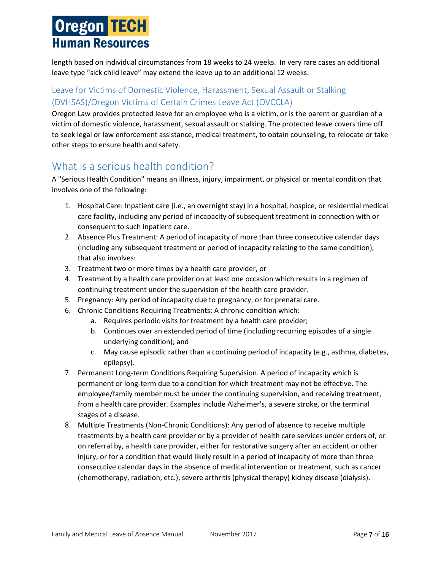length based on individual circumstances from 18 weeks to 24 weeks. In very rare cases an additional leave type "sick child leave" may extend the leave up to an additional 12 weeks.

#### <span id="page-7-0"></span>Leave for Victims of Domestic Violence, Harassment, Sexual Assault or Stalking (DVHSAS)/Oregon Victims of Certain Crimes Leave Act (OVCCLA)

Oregon Law provides protected leave for an employee who is a victim, or is the parent or guardian of a victim of domestic violence, harassment, sexual assault or stalking. The protected leave covers time off to seek legal or law enforcement assistance, medical treatment, to obtain counseling, to relocate or take other steps to ensure health and safety.

## <span id="page-7-1"></span>What is a serious health condition?

A "Serious Health Condition" means an illness, injury, impairment, or physical or mental condition that involves one of the following:

- 1. Hospital Care: Inpatient care (i.e., an overnight stay) in a hospital, hospice, or residential medical care facility, including any period of incapacity of subsequent treatment in connection with or consequent to such inpatient care.
- 2. Absence Plus Treatment: A period of incapacity of more than three consecutive calendar days (including any subsequent treatment or period of incapacity relating to the same condition), that also involves:
- 3. Treatment two or more times by a health care provider, or
- 4. Treatment by a health care provider on at least one occasion which results in a regimen of continuing treatment under the supervision of the health care provider.
- 5. Pregnancy: Any period of incapacity due to pregnancy, or for prenatal care.
- 6. Chronic Conditions Requiring Treatments: A chronic condition which:
	- a. Requires periodic visits for treatment by a health care provider;
	- b. Continues over an extended period of time (including recurring episodes of a single underlying condition); and
	- c. May cause episodic rather than a continuing period of incapacity (e.g., asthma, diabetes, epilepsy).
- 7. Permanent Long-term Conditions Requiring Supervision. A period of incapacity which is permanent or long-term due to a condition for which treatment may not be effective. The employee/family member must be under the continuing supervision, and receiving treatment, from a health care provider. Examples include Alzheimer's, a severe stroke, or the terminal stages of a disease.
- 8. Multiple Treatments (Non-Chronic Conditions): Any period of absence to receive multiple treatments by a health care provider or by a provider of health care services under orders of, or on referral by, a health care provider, either for restorative surgery after an accident or other injury, or for a condition that would likely result in a period of incapacity of more than three consecutive calendar days in the absence of medical intervention or treatment, such as cancer (chemotherapy, radiation, etc.), severe arthritis (physical therapy) kidney disease (dialysis).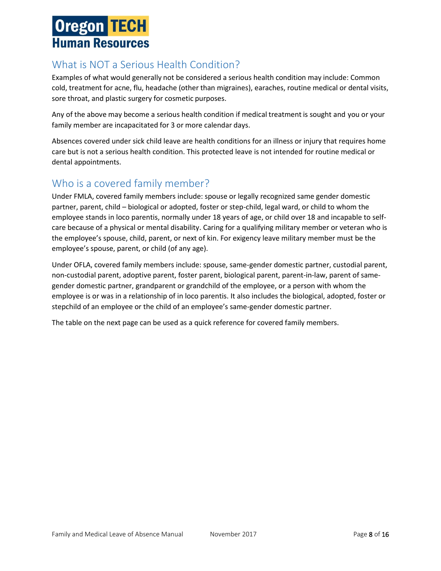# <span id="page-8-0"></span>What is NOT a Serious Health Condition?

Examples of what would generally not be considered a serious health condition may include: Common cold, treatment for acne, flu, headache (other than migraines), earaches, routine medical or dental visits, sore throat, and plastic surgery for cosmetic purposes.

Any of the above may become a serious health condition if medical treatment is sought and you or your family member are incapacitated for 3 or more calendar days.

Absences covered under sick child leave are health conditions for an illness or injury that requires home care but is not a serious health condition. This protected leave is not intended for routine medical or dental appointments.

## <span id="page-8-1"></span>Who is a covered family member?

Under FMLA, covered family members include: spouse or legally recognized same gender domestic partner, parent, child – biological or adopted, foster or step-child, legal ward, or child to whom the employee stands in loco parentis, normally under 18 years of age, or child over 18 and incapable to selfcare because of a physical or mental disability. Caring for a qualifying military member or veteran who is the employee's spouse, child, parent, or next of kin. For exigency leave military member must be the employee's spouse, parent, or child (of any age).

Under OFLA, covered family members include: spouse, same-gender domestic partner, custodial parent, non-custodial parent, adoptive parent, foster parent, biological parent, parent-in-law, parent of samegender domestic partner, grandparent or grandchild of the employee, or a person with whom the employee is or was in a relationship of in loco parentis. It also includes the biological, adopted, foster or stepchild of an employee or the child of an employee's same-gender domestic partner.

The table on the next page can be used as a quick reference for covered family members.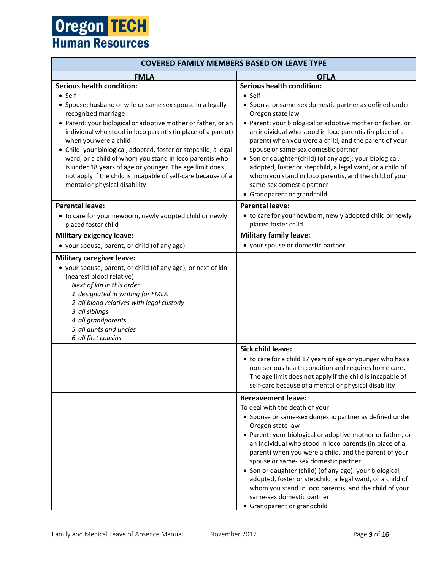| <b>COVERED FAMILY MEMBERS BASED ON LEAVE TYPE</b>                                                                                                                                                                                                                                                                                                                                                                                                                                                                                     |                                                                                                                                                                                                                                                                                                                                                                                                                                                                                                                                                                                                                     |  |
|---------------------------------------------------------------------------------------------------------------------------------------------------------------------------------------------------------------------------------------------------------------------------------------------------------------------------------------------------------------------------------------------------------------------------------------------------------------------------------------------------------------------------------------|---------------------------------------------------------------------------------------------------------------------------------------------------------------------------------------------------------------------------------------------------------------------------------------------------------------------------------------------------------------------------------------------------------------------------------------------------------------------------------------------------------------------------------------------------------------------------------------------------------------------|--|
| <b>FMLA</b>                                                                                                                                                                                                                                                                                                                                                                                                                                                                                                                           | <b>OFLA</b>                                                                                                                                                                                                                                                                                                                                                                                                                                                                                                                                                                                                         |  |
| <b>Serious health condition:</b><br>$\bullet$ Self                                                                                                                                                                                                                                                                                                                                                                                                                                                                                    | <b>Serious health condition:</b><br>$\bullet$ Self                                                                                                                                                                                                                                                                                                                                                                                                                                                                                                                                                                  |  |
| • Spouse: husband or wife or same sex spouse in a legally<br>recognized marriage<br>• Parent: your biological or adoptive mother or father, or an<br>individual who stood in loco parentis (in place of a parent)<br>when you were a child<br>· Child: your biological, adopted, foster or stepchild, a legal<br>ward, or a child of whom you stand in loco parentis who<br>is under 18 years of age or younger. The age limit does<br>not apply if the child is incapable of self-care because of a<br>mental or physical disability | • Spouse or same-sex domestic partner as defined under<br>Oregon state law<br>• Parent: your biological or adoptive mother or father, or<br>an individual who stood in loco parentis (in place of a<br>parent) when you were a child, and the parent of your<br>spouse or same-sex domestic partner<br>• Son or daughter (child) (of any age): your biological,<br>adopted, foster or stepchild, a legal ward, or a child of<br>whom you stand in loco parentis, and the child of your<br>same-sex domestic partner<br>• Grandparent or grandchild                                                                  |  |
| <b>Parental leave:</b><br>• to care for your newborn, newly adopted child or newly<br>placed foster child                                                                                                                                                                                                                                                                                                                                                                                                                             | <b>Parental leave:</b><br>• to care for your newborn, newly adopted child or newly<br>placed foster child                                                                                                                                                                                                                                                                                                                                                                                                                                                                                                           |  |
| <b>Military exigency leave:</b>                                                                                                                                                                                                                                                                                                                                                                                                                                                                                                       | <b>Military family leave:</b>                                                                                                                                                                                                                                                                                                                                                                                                                                                                                                                                                                                       |  |
| • your spouse, parent, or child (of any age)                                                                                                                                                                                                                                                                                                                                                                                                                                                                                          | • your spouse or domestic partner                                                                                                                                                                                                                                                                                                                                                                                                                                                                                                                                                                                   |  |
| • your spouse, parent, or child (of any age), or next of kin<br>(nearest blood relative)<br>Next of kin in this order:<br>1. designated in writing for FMLA<br>2. all blood relatives with legal custody<br>3. all siblings<br>4. all grandparents<br>5. all aunts and uncles<br>6. all first cousins                                                                                                                                                                                                                                 |                                                                                                                                                                                                                                                                                                                                                                                                                                                                                                                                                                                                                     |  |
|                                                                                                                                                                                                                                                                                                                                                                                                                                                                                                                                       | <b>Sick child leave:</b><br>• to care for a child 17 years of age or younger who has a<br>non-serious health condition and requires home care.<br>The age limit does not apply if the child is incapable of<br>self-care because of a mental or physical disability                                                                                                                                                                                                                                                                                                                                                 |  |
|                                                                                                                                                                                                                                                                                                                                                                                                                                                                                                                                       | <b>Bereavement leave:</b><br>To deal with the death of your:<br>• Spouse or same-sex domestic partner as defined under<br>Oregon state law<br>• Parent: your biological or adoptive mother or father, or<br>an individual who stood in loco parentis (in place of a<br>parent) when you were a child, and the parent of your<br>spouse or same- sex domestic partner<br>• Son or daughter (child) (of any age): your biological,<br>adopted, foster or stepchild, a legal ward, or a child of<br>whom you stand in loco parentis, and the child of your<br>same-sex domestic partner<br>• Grandparent or grandchild |  |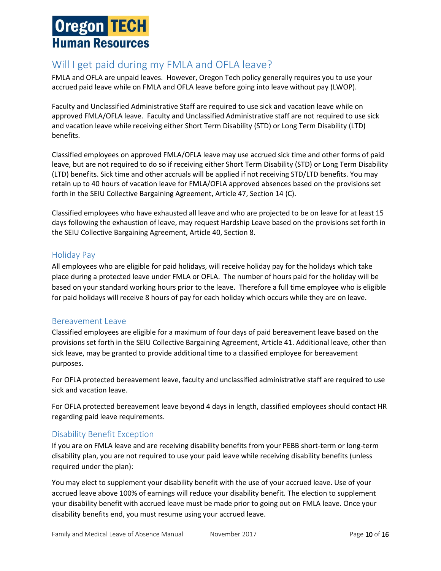# <span id="page-10-0"></span>Will I get paid during my FMLA and OFLA leave?

FMLA and OFLA are unpaid leaves. However, Oregon Tech policy generally requires you to use your accrued paid leave while on FMLA and OFLA leave before going into leave without pay (LWOP).

Faculty and Unclassified Administrative Staff are required to use sick and vacation leave while on approved FMLA/OFLA leave. Faculty and Unclassified Administrative staff are not required to use sick and vacation leave while receiving either Short Term Disability (STD) or Long Term Disability (LTD) benefits.

Classified employees on approved FMLA/OFLA leave may use accrued sick time and other forms of paid leave, but are not required to do so if receiving either Short Term Disability (STD) or Long Term Disability (LTD) benefits. Sick time and other accruals will be applied if not receiving STD/LTD benefits. You may retain up to 40 hours of vacation leave for FMLA/OFLA approved absences based on the provisions set forth in the SEIU Collective Bargaining Agreement, Article 47, Section 14 (C).

Classified employees who have exhausted all leave and who are projected to be on leave for at least 15 days following the exhaustion of leave, may request Hardship Leave based on the provisions set forth in the SEIU Collective Bargaining Agreement, Article 40, Section 8.

#### <span id="page-10-1"></span>Holiday Pay

All employees who are eligible for paid holidays, will receive holiday pay for the holidays which take place during a protected leave under FMLA or OFLA. The number of hours paid for the holiday will be based on your standard working hours prior to the leave. Therefore a full time employee who is eligible for paid holidays will receive 8 hours of pay for each holiday which occurs while they are on leave.

#### <span id="page-10-2"></span>Bereavement Leave

Classified employees are eligible for a maximum of four days of paid bereavement leave based on the provisions set forth in the SEIU Collective Bargaining Agreement, Article 41. Additional leave, other than sick leave, may be granted to provide additional time to a classified employee for bereavement purposes.

For OFLA protected bereavement leave, faculty and unclassified administrative staff are required to use sick and vacation leave.

For OFLA protected bereavement leave beyond 4 days in length, classified employees should contact HR regarding paid leave requirements.

#### <span id="page-10-3"></span>Disability Benefit Exception

If you are on FMLA leave and are receiving disability benefits from your PEBB short-term or long-term disability plan, you are not required to use your paid leave while receiving disability benefits (unless required under the plan):

You may elect to supplement your disability benefit with the use of your accrued leave. Use of your accrued leave above 100% of earnings will reduce your disability benefit. The election to supplement your disability benefit with accrued leave must be made prior to going out on FMLA leave. Once your disability benefits end, you must resume using your accrued leave.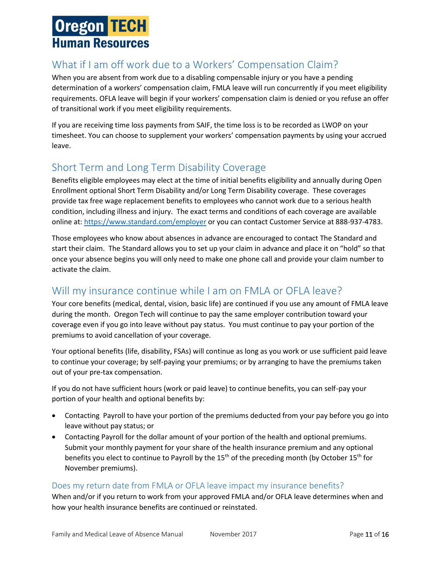# <span id="page-11-0"></span>What if I am off work due to a Workers' Compensation Claim?

When you are absent from work due to a disabling compensable injury or you have a pending determination of a workers' compensation claim, FMLA leave will run concurrently if you meet eligibility requirements. OFLA leave will begin if your workers' compensation claim is denied or you refuse an offer of transitional work if you meet eligibility requirements.

If you are receiving time loss payments from SAIF, the time loss is to be recorded as LWOP on your timesheet. You can choose to supplement your workers' compensation payments by using your accrued leave.

## <span id="page-11-1"></span>Short Term and Long Term Disability Coverage

Benefits eligible employees may elect at the time of initial benefits eligibility and annually during Open Enrollment optional Short Term Disability and/or Long Term Disability coverage. These coverages provide tax free wage replacement benefits to employees who cannot work due to a serious health condition, including illness and injury. The exact terms and conditions of each coverage are available online at[: https://www.standard.com/employer](https://www.standard.com/employer) or you can contact Customer Service at 888-937-4783.

Those employees who know about absences in advance are encouraged to contact The Standard and start their claim. The Standard allows you to set up your claim in advance and place it on "hold" so that once your absence begins you will only need to make one phone call and provide your claim number to activate the claim.

# <span id="page-11-2"></span>Will my insurance continue while I am on FMLA or OFLA leave?

Your core benefits (medical, dental, vision, basic life) are continued if you use any amount of FMLA leave during the month. Oregon Tech will continue to pay the same employer contribution toward your coverage even if you go into leave without pay status. You must continue to pay your portion of the premiums to avoid cancellation of your coverage.

Your optional benefits (life, disability, FSAs) will continue as long as you work or use sufficient paid leave to continue your coverage; by self-paying your premiums; or by arranging to have the premiums taken out of your pre-tax compensation.

If you do not have sufficient hours (work or paid leave) to continue benefits, you can self-pay your portion of your health and optional benefits by:

- Contacting Payroll to have your portion of the premiums deducted from your pay before you go into leave without pay status; or
- Contacting Payroll for the dollar amount of your portion of the health and optional premiums. Submit your monthly payment for your share of the health insurance premium and any optional benefits you elect to continue to Payroll by the  $15<sup>th</sup>$  of the preceding month (by October  $15<sup>th</sup>$  for November premiums).

#### <span id="page-11-3"></span>Does my return date from FMLA or OFLA leave impact my insurance benefits?

When and/or if you return to work from your approved FMLA and/or OFLA leave determines when and how your health insurance benefits are continued or reinstated.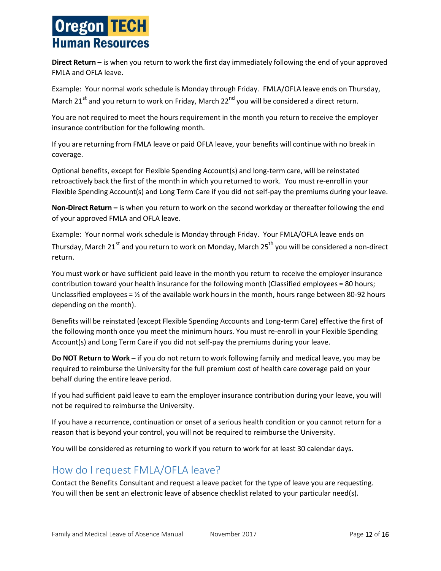**Direct Return –** is when you return to work the first day immediately following the end of your approved FMLA and OFLA leave.

Example: Your normal work schedule is Monday through Friday. FMLA/OFLA leave ends on Thursday, March 21<sup>st</sup> and you return to work on Friday, March 22<sup>nd</sup> you will be considered a direct return.

You are not required to meet the hours requirement in the month you return to receive the employer insurance contribution for the following month.

If you are returning from FMLA leave or paid OFLA leave, your benefits will continue with no break in coverage.

Optional benefits, except for Flexible Spending Account(s) and long-term care, will be reinstated retroactively back the first of the month in which you returned to work. You must re-enroll in your Flexible Spending Account(s) and Long Term Care if you did not self-pay the premiums during your leave.

**Non-Direct Return –** is when you return to work on the second workday or thereafter following the end of your approved FMLA and OFLA leave.

Example: Your normal work schedule is Monday through Friday. Your FMLA/OFLA leave ends on Thursday, March 21<sup>st</sup> and you return to work on Monday, March 25<sup>th</sup> you will be considered a non-direct return.

You must work or have sufficient paid leave in the month you return to receive the employer insurance contribution toward your health insurance for the following month (Classified employees = 80 hours; Unclassified employees =  $\frac{1}{2}$  of the available work hours in the month, hours range between 80-92 hours depending on the month).

Benefits will be reinstated (except Flexible Spending Accounts and Long-term Care) effective the first of the following month once you meet the minimum hours. You must re-enroll in your Flexible Spending Account(s) and Long Term Care if you did not self-pay the premiums during your leave.

**Do NOT Return to Work –** if you do not return to work following family and medical leave, you may be required to reimburse the University for the full premium cost of health care coverage paid on your behalf during the entire leave period.

If you had sufficient paid leave to earn the employer insurance contribution during your leave, you will not be required to reimburse the University.

If you have a recurrence, continuation or onset of a serious health condition or you cannot return for a reason that is beyond your control, you will not be required to reimburse the University.

You will be considered as returning to work if you return to work for at least 30 calendar days.

## <span id="page-12-0"></span>How do I request FMLA/OFLA leave?

Contact the Benefits Consultant and request a leave packet for the type of leave you are requesting. You will then be sent an electronic leave of absence checklist related to your particular need(s).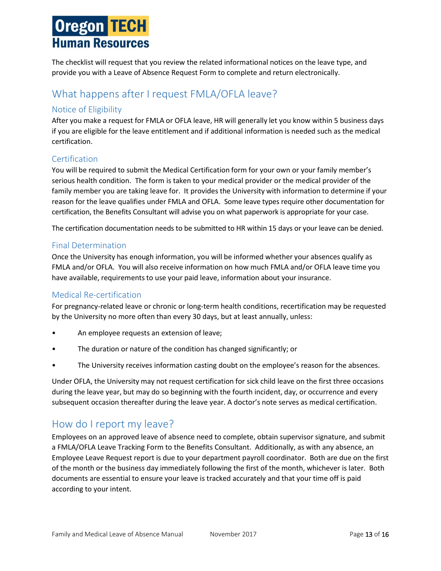The checklist will request that you review the related informational notices on the leave type, and provide you with a Leave of Absence Request Form to complete and return electronically.

## <span id="page-13-0"></span>What happens after I request FMLA/OFLA leave?

#### <span id="page-13-1"></span>Notice of Eligibility

After you make a request for FMLA or OFLA leave, HR will generally let you know within 5 business days if you are eligible for the leave entitlement and if additional information is needed such as the medical certification.

#### <span id="page-13-2"></span>Certification

You will be required to submit the Medical Certification form for your own or your family member's serious health condition. The form is taken to your medical provider or the medical provider of the family member you are taking leave for. It provides the University with information to determine if your reason for the leave qualifies under FMLA and OFLA. Some leave types require other documentation for certification, the Benefits Consultant will advise you on what paperwork is appropriate for your case.

The certification documentation needs to be submitted to HR within 15 days or your leave can be denied.

#### <span id="page-13-3"></span>Final Determination

Once the University has enough information, you will be informed whether your absences qualify as FMLA and/or OFLA. You will also receive information on how much FMLA and/or OFLA leave time you have available, requirements to use your paid leave, information about your insurance.

#### <span id="page-13-4"></span>Medical Re-certification

For pregnancy-related leave or chronic or long-term health conditions, recertification may be requested by the University no more often than every 30 days, but at least annually, unless:

- An employee requests an extension of leave;
- The duration or nature of the condition has changed significantly; or
- The University receives information casting doubt on the employee's reason for the absences.

Under OFLA, the University may not request certification for sick child leave on the first three occasions during the leave year, but may do so beginning with the fourth incident, day, or occurrence and every subsequent occasion thereafter during the leave year. A doctor's note serves as medical certification.

## <span id="page-13-5"></span>How do I report my leave?

Employees on an approved leave of absence need to complete, obtain supervisor signature, and submit a FMLA/OFLA Leave Tracking Form to the Benefits Consultant. Additionally, as with any absence, an Employee Leave Request report is due to your department payroll coordinator. Both are due on the first of the month or the business day immediately following the first of the month, whichever is later. Both documents are essential to ensure your leave is tracked accurately and that your time off is paid according to your intent.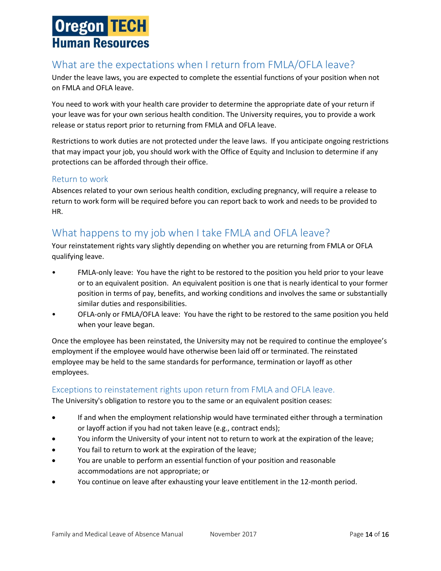## <span id="page-14-0"></span>What are the expectations when I return from FMLA/OFLA leave?

Under the leave laws, you are expected to complete the essential functions of your position when not on FMLA and OFLA leave.

You need to work with your health care provider to determine the appropriate date of your return if your leave was for your own serious health condition. The University requires, you to provide a work release or status report prior to returning from FMLA and OFLA leave.

Restrictions to work duties are not protected under the leave laws. If you anticipate ongoing restrictions that may impact your job, you should work with the Office of Equity and Inclusion to determine if any protections can be afforded through their office.

#### <span id="page-14-1"></span>Return to work

Absences related to your own serious health condition, excluding pregnancy, will require a release to return to work form will be required before you can report back to work and needs to be provided to HR.

## <span id="page-14-2"></span>What happens to my job when I take FMLA and OFLA leave?

Your reinstatement rights vary slightly depending on whether you are returning from FMLA or OFLA qualifying leave.

- FMLA-only leave: You have the right to be restored to the position you held prior to your leave or to an equivalent position. An equivalent position is one that is nearly identical to your former position in terms of pay, benefits, and working conditions and involves the same or substantially similar duties and responsibilities.
- OFLA-only or FMLA/OFLA leave: You have the right to be restored to the same position you held when your leave began.

Once the employee has been reinstated, the University may not be required to continue the employee's employment if the employee would have otherwise been laid off or terminated. The reinstated employee may be held to the same standards for performance, termination or layoff as other employees.

#### <span id="page-14-3"></span>Exceptions to reinstatement rights upon return from FMLA and OFLA leave.

The University's obligation to restore you to the same or an equivalent position ceases:

- If and when the employment relationship would have terminated either through a termination or layoff action if you had not taken leave (e.g., contract ends);
- You inform the University of your intent not to return to work at the expiration of the leave;
- You fail to return to work at the expiration of the leave;
- You are unable to perform an essential function of your position and reasonable accommodations are not appropriate; or
- You continue on leave after exhausting your leave entitlement in the 12-month period.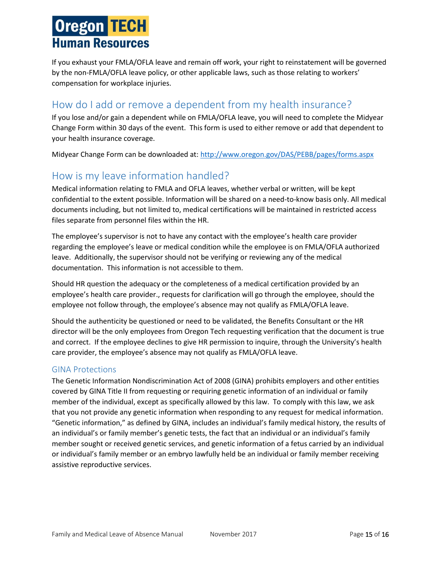If you exhaust your FMLA/OFLA leave and remain off work, your right to reinstatement will be governed by the non-FMLA/OFLA leave policy, or other applicable laws, such as those relating to workers' compensation for workplace injuries.

# <span id="page-15-0"></span>How do I add or remove a dependent from my health insurance?

If you lose and/or gain a dependent while on FMLA/OFLA leave, you will need to complete the Midyear Change Form within 30 days of the event. This form is used to either remove or add that dependent to your health insurance coverage.

Midyear Change Form can be downloaded at: <http://www.oregon.gov/DAS/PEBB/pages/forms.aspx>

## <span id="page-15-1"></span>How is my leave information handled?

Medical information relating to FMLA and OFLA leaves, whether verbal or written, will be kept confidential to the extent possible. Information will be shared on a need-to-know basis only. All medical documents including, but not limited to, medical certifications will be maintained in restricted access files separate from personnel files within the HR.

The employee's supervisor is not to have any contact with the employee's health care provider regarding the employee's leave or medical condition while the employee is on FMLA/OFLA authorized leave. Additionally, the supervisor should not be verifying or reviewing any of the medical documentation. This information is not accessible to them.

Should HR question the adequacy or the completeness of a medical certification provided by an employee's health care provider., requests for clarification will go through the employee, should the employee not follow through, the employee's absence may not qualify as FMLA/OFLA leave.

Should the authenticity be questioned or need to be validated, the Benefits Consultant or the HR director will be the only employees from Oregon Tech requesting verification that the document is true and correct. If the employee declines to give HR permission to inquire, through the University's health care provider, the employee's absence may not qualify as FMLA/OFLA leave.

#### <span id="page-15-2"></span>GINA Protections

The Genetic Information Nondiscrimination Act of 2008 (GINA) prohibits employers and other entities covered by GINA Title II from requesting or requiring genetic information of an individual or family member of the individual, except as specifically allowed by this law. To comply with this law, we ask that you not provide any genetic information when responding to any request for medical information. "Genetic information," as defined by GINA, includes an individual's family medical history, the results of an individual's or family member's genetic tests, the fact that an individual or an individual's family member sought or received genetic services, and genetic information of a fetus carried by an individual or individual's family member or an embryo lawfully held be an individual or family member receiving assistive reproductive services.